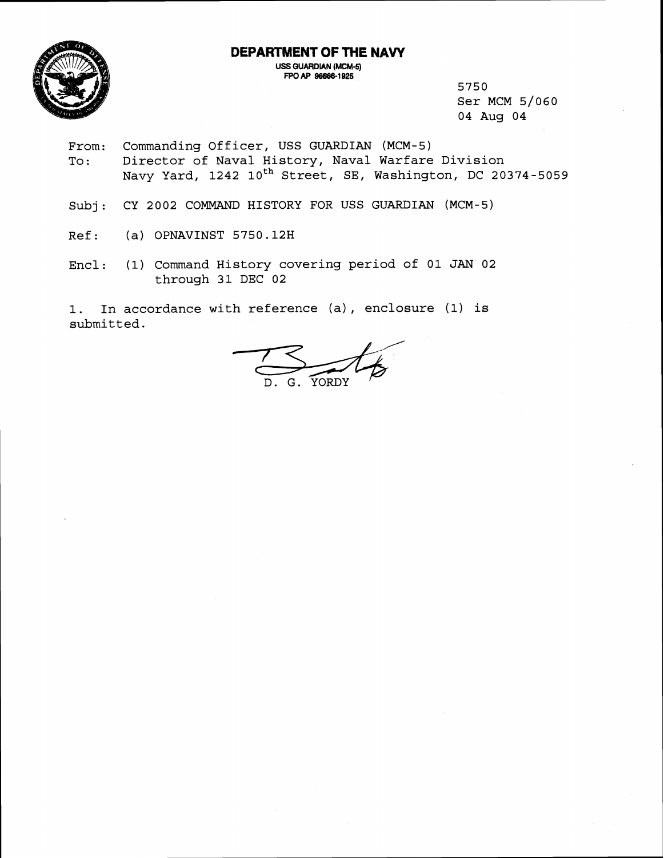**DEPARTMENT OF THE NAW** 



**US6 GUARDIAN (MCM-5)**  fPO **AF' 96888-1 925** 

5750 Ser MCM 5/060 04 Aug 04

- From: Commanding Officer, USS GUARDIAN (MCM-5) To: Director of Naval History, Naval Warfare Division Navy Yard, 1242 10<sup>th</sup> Street, SE, Washington, DC 20374-5059
- Subj : CY 2002 COMMAND HISTORY FOR USS GUARDIAN (MCM-5)
- Ref: (a) OPNAVINST 5750.12H
- Encl: (1) Command History covering period of 01 **JAN** 02 through 31 DEC 02

1. In accordance with reference (a), enclosure (1) is submitted.

 $\frac{2}{D}$ . G. YORDY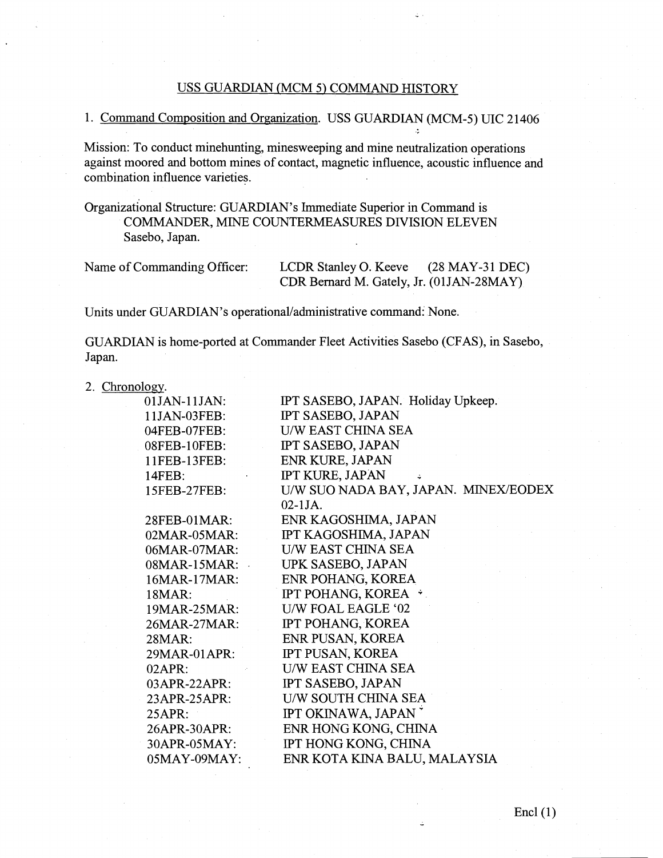# USS GUARDIAN (MCM 5) COMMAND HISTORY

# 1. Command Composition and Organization. USS GUARDIAN (MCM-5) UIC 21406

Mission: To conduct minehunting, minesweeping and mine neutralization operations against moored and bottom mines of contact, magnetic influence, acoustic influence and combination influence varieties.

Organizational Structure: GUARDIAN'S Immediate Superior in Command is COMMANDER, MINE COUNTERMEASURES DIVISION ELEVEN Sasebo, Japan.

| Name of Commanding Officer: | LCDR Stanley O. Keeve                    | $(28$ MAY-31 DEC) |
|-----------------------------|------------------------------------------|-------------------|
|                             | CDR Bernard M. Gately, Jr. (01JAN-28MAY) |                   |

Units under GUARDIAN's operational/administrative command: None.

GUARDIAN is home-ported at Commander Fleet Activities Sasebo (CFAS), in Sasebo, Japan.

### 2. Chronology.

| 01JAN-11JAN:      | IPT SASEBO, JAPAN. Holiday Upkeep.   |
|-------------------|--------------------------------------|
| 11JAN-03FEB:      | IPT SASEBO, JAPAN                    |
| 04FEB-07FEB:      | <b>U/W EAST CHINA SEA</b>            |
| 08FEB-10FEB:      | IPT SASEBO, JAPAN                    |
| 11FEB-13FEB:      | <b>ENR KURE, JAPAN</b>               |
| $14$ FEB:         | IPT KURE, JAPAN                      |
| 15FEB-27FEB:      | U/W SUO NADA BAY, JAPAN. MINEX/EODEX |
|                   | $02 - 1$ JA.                         |
| 28FEB-01MAR:      | ENR KAGOSHIMA, JAPAN                 |
| 02MAR-05MAR:      | IPT KAGOSHIMA, JAPAN                 |
| 06MAR-07MAR:      | <b>U/W EAST CHINA SEA</b>            |
| $08MAR-15MAR:$    | UPK SASEBO, JAPAN                    |
| 16MAR-17MAR:      | ENR POHANG, KOREA                    |
| 18 <sub>MAR</sub> | IPT POHANG, KOREA *                  |
| 19MAR-25MAR:      | U/W FOAL EAGLE '02                   |
| 26MAR-27MAR:      | IPT POHANG, KOREA                    |
| $28MAR$ :         | ENR PUSAN, KOREA                     |
| 29MAR-01APR:      | IPT PUSAN, KOREA                     |
| $02APR$ :         | <b>U/W EAST CHINA SEA</b>            |
| $03APR-22APR$ :   | <b>IPT SASEBO, JAPAN</b>             |
| 23APR-25APR:      | U/W SOUTH CHINA SEA                  |
| 25APR:            | IPT OKINAWA, JAPAN                   |
| 26APR-30APR:      | ENR HONG KONG, CHINA                 |
| 30APR-05MAY:      | IPT HONG KONG, CHINA                 |
| $05$ MAY-09MAY:   | ENR KOTA KINA BALU, MALAYSIA         |
|                   |                                      |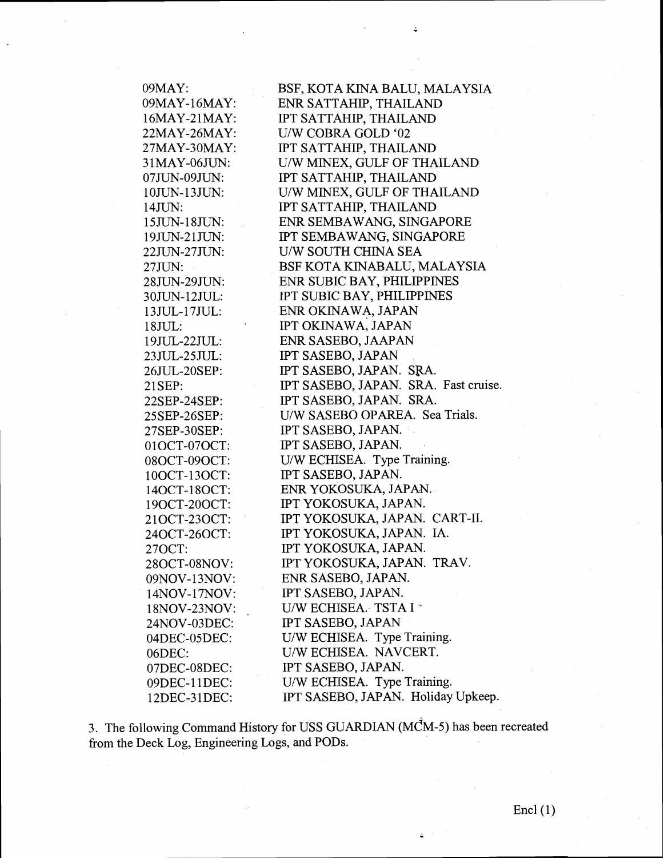| 09MAY:       | BSF, KOTA KINA BALU, MALAYSIA        |
|--------------|--------------------------------------|
| 09MAY-16MAY: | ENR SATTAHIP, THAILAND               |
| 16MAY-21MAY: | IPT SATTAHIP, THAILAND               |
| 22MAY-26MAY: | U/W COBRA GOLD '02                   |
| 27MAY-30MAY: | IPT SATTAHIP, THAILAND               |
| 31MAY-06JUN: | U/W MINEX, GULF OF THAILAND          |
| 07JUN-09JUN: | IPT SATTAHIP, THAILAND               |
| 10JUN-13JUN: | U/W MINEX, GULF OF THAILAND          |
| 14JUN:       | IPT SATTAHIP, THAILAND               |
| 15JUN-18JUN: | ENR SEMBAWANG, SINGAPORE             |
| 19JUN-21JUN: | IPT SEMBAWANG, SINGAPORE             |
| 22JUN-27JUN: | U/W SOUTH CHINA SEA                  |
| 27JUN:       | BSF KOTA KINABALU, MALAYSIA          |
| 28JUN-29JUN: | ENR SUBIC BAY, PHILIPPINES           |
| 30JUN-12JUL: | IPT SUBIC BAY, PHILIPPINES           |
| 13JUL-17JUL: | ENR OKINAWA, JAPAN                   |
| 18JUL:       | IPT OKINAWA, JAPAN                   |
| 19JUL-22JUL: | ENR SASEBO, JAAPAN                   |
| 23JUL-25JUL: | IPT SASEBO, JAPAN                    |
| 26JUL-20SEP: | IPT SASEBO, JAPAN. SRA.              |
| 21SEP:       | IPT SASEBO, JAPAN. SRA. Fast cruise. |
| 22SEP-24SEP: | IPT SASEBO, JAPAN. SRA.              |
| 25SEP-26SEP: | U/W SASEBO OPAREA. Sea Trials.       |
| 27SEP-30SEP: | IPT SASEBO, JAPAN.                   |
| 01OCT-07OCT: | IPT SASEBO, JAPAN.                   |
| 08OCT-09OCT: | U/W ECHISEA. Type Training.          |
| 10OCT-13OCT: | IPT SASEBO, JAPAN.                   |
| 14OCT-18OCT: | ENR YOKOSUKA, JAPAN.                 |
| 190CT-200CT: | IPT YOKOSUKA, JAPAN.                 |
| 21OCT-23OCT: | IPT YOKOSUKA, JAPAN. CART-II.        |
| 24OCT-26OCT: | IPT YOKOSUKA, JAPAN. IA.             |
| 27OCT:       | IPT YOKOSUKA, JAPAN.                 |
| 28OCT-08NOV: | IPT YOKOSUKA, JAPAN. TRAV.           |
| 09NOV-13NOV: | ENR SASEBO, JAPAN.                   |
| 14NOV-17NOV: | IPT SASEBO, JAPAN.                   |
| 18NOV-23NOV: | U/W ECHISEA. TSTA I <sup>*</sup>     |
| 24NOV-03DEC: | IPT SASEBO, JAPAN                    |
| 04DEC-05DEC: | U/W ECHISEA. Type Training.          |
| 06DEC:       | U/W ECHISEA. NAVCERT.                |
| 07DEC-08DEC: | IPT SASEBO, JAPAN.                   |
| 09DEC-11DEC: | U/W ECHISEA. Type Training.          |
| 12DEC-31DEC: | IPT SASEBO, JAPAN. Holiday Upkeep.   |

3. The following Command History for USS GUARDIAN (MCM-5) has been recreated from the Deck Log, Engineering Logs, and PODs.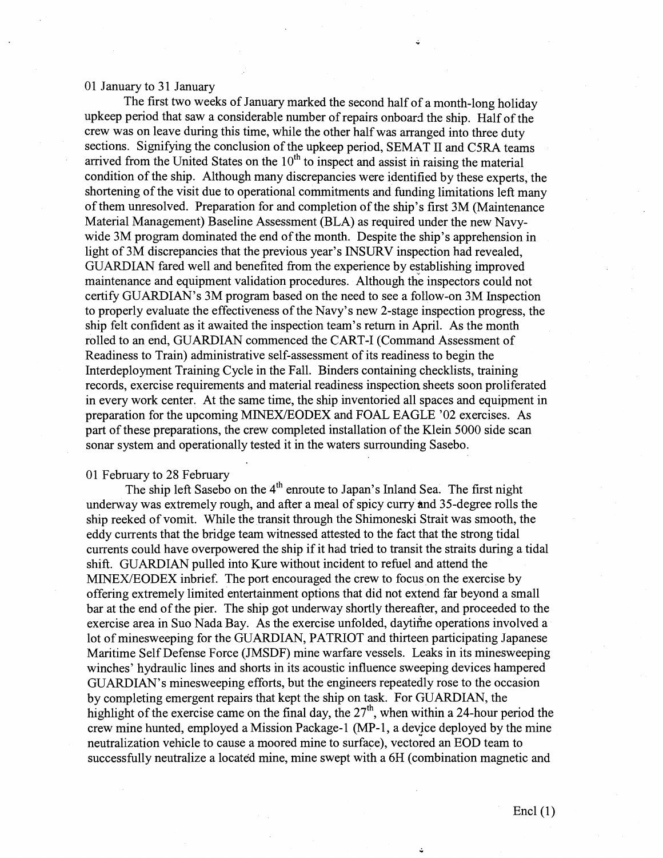#### 01 January to 31 January

The first two weeks of January marked the second half of a month-long holiday upkeep period that saw a considerable number of repairs onboard the ship. Half of the crew was on leave during this time, while the other half was arranged into three duty sections. Signifying the conclusion of the upkeep period, SEMAT I1 and C5RA teams arrived from the United States on the  $10<sup>th</sup>$  to inspect and assist in raising the material condition of the ship. Although many discrepancies were identified by these experts, the shortening of the visit due to operational commitments and funding limitations left many of them unresolved. Preparation for and completion of the ship's first 3M (Maintenance Material Management) Baseline Assessment (B1,A) as required under the new Navywide 3M program dominated the end of the month. Despite the ship's apprehension in light of 3M discrepancies that the previous year's INSURV inspection had revealed, GUARDIAN fared well and benefited from the experience by establishing improved maintenance and equipment validation procedures. Although the inspectors could not certify GUARDIAN'S 3M program based on the need to see a follow-on 3M Inspection to properly evaluate the effectiveness of the Navy's new 2-stage inspection progress, the ship felt confident as it awaited the inspection team's return in April. As the month rolled to an end, GUARDIAN commenced the CART-I (Command Assessment of Readiness to Train) administrative self-assessment of its readiness to begin the Interdeployment Training Cycle in the Fall. Binders containing checklists, training records, exercise requirements and material readiness inspection sheets soon proliferated in every work center. At the same time, the ship inventoried all spaces and equipment in preparation for the upcoming MINEXIEODEX and FOAL EAGLE '02 exercises. As part of these preparations, the crew completed installation of the Klein 5000 side scan sonar system and operationally tested it in the waters surrounding Sasebo.

## 01 February to 28 February

The ship left Sasebo on the  $4<sup>th</sup>$  enroute to Japan's Inland Sea. The first night underway was extremely rough, and after a meal of spicy curry and 35-degree rolls the ship reeked of vomit. While the transit through the Shimoneski Strait was smooth, the eddy currents that the bridge team witnessed attested to the fact that the strong tidal currents could have overpowered the ship if it hald tried to transit the straits during a tidal shift. GUARDIAN pulled into Kure without incident to refuel and attend the MINEXIEODEX inbrief. The port encouraged the crew to focus on the exercise by offering extremely limited entertainment options that did not extend far beyond a small bar at the end of the pier. The ship got underway shortly thereafter, and proceeded to the exercise area in Suo Nada Bay. As the exercise unfolded, daytihe operations involved a lot of minesweeping for the GUARDIAN, PATRIOT and thirteen participating Japanese Maritime Self Defense Force (JMSDF) mine warfare vessels. Leaks in its minesweeping winches' hydraulic lines and shorts in its acoustic influence sweeping devices hampered GUARDIAN'S minesweeping efforts, but the engineers repeatedly rose to the occasion by completing emergent repairs that kept the ship on task. For GUARDIAN, the highlight of the exercise came on the final day, the  $27<sup>th</sup>$ , when within a 24-hour period the crew mine hunted, employed a Mission Package-1 (MP-1, a device deployed by the mine neutralization vehicle to cause a moored mine to surface), vectored an EOD team to successfully neutralize a located mine, mine swept with a 6H (combination magnetic and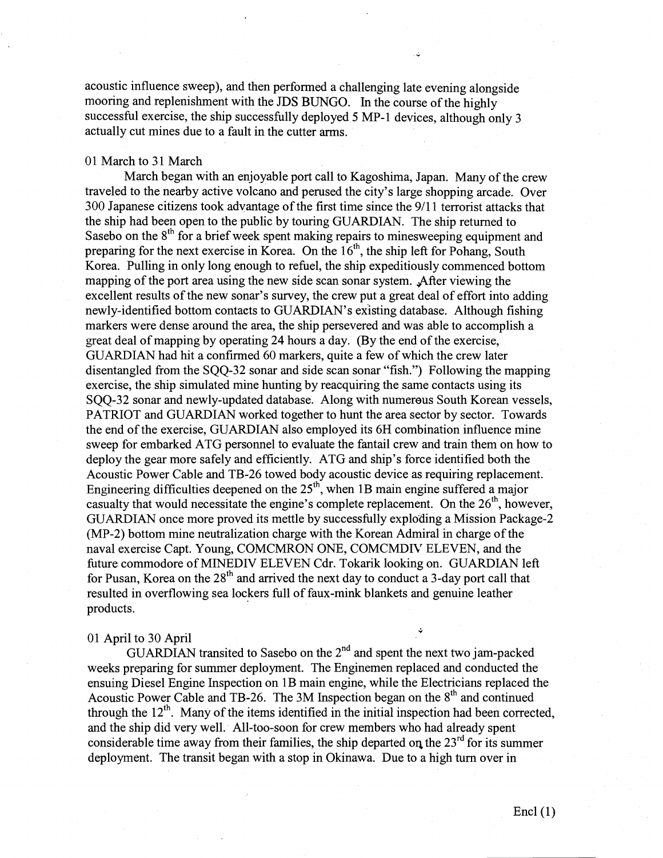acoustic influence sweep), and then performed a challenging late evening alongside mooring and replenishment with the JDS BUNGO. In the course of the highly successful exercise, the ship successfully deployed 5 MP-1 devices, although only 3 actually cut mines due to a fault in the cutter arms.

# 01 March to 31 March

March began with an enjoyable port call to Kagoshima, Japan. Many of the crew traveled to the nearby active volcano and perused the city's large shopping arcade. Over 300 Japanese citizens took advantage of the first time since the 911 1 terrorist attacks that the ship had been open to the public by touring GUARDIAN. The ship returned to Sasebo on the  $8<sup>th</sup>$  for a brief week spent making repairs to minesweeping equipment and preparing for the next exercise in Korea. On the  $16<sup>th</sup>$ , the ship left for Pohang, South Korea. Pulling in only long enough to refuel, the ship expeditiously conmenced bottom mapping of the port area using the new side scan sonar system. After viewing the excellent results of the new sonar's survey, the crew put a great deal of effort into adding newly-identified bottom contacts to GUARDIAN'S existing database. Although fishing markers were dense around the area, the ship persevered and was able to accomplish a great deal of mapping by operating 24 hours a day. (By the end of the exercise, GUARDIAN had hit a confirmed 60 markers, quite a few of which the crew later disentangled from the SQQ-32 sonar and side scan sonar "fish.") Following the mapping exercise, the ship simulated mine hunting by reacquiring the same contacts using its SQQ-32 sonar and newly-updated database. Along with numerous South Korean vessels, PATRIOT and GUARDIAN worked together to hunt the area sector by sector. Towards the end of the exercise, GUARDIAN also employed its 6H combination influence mine sweep for embarked ATG personnel to evaluate the fantail crew and train them on how to deploy the gear more safely and efficiently. ATG and ship's force identified both the Acoustic Power Cable and TB-26 towed body acoustic device as requiring replacement. Engineering difficulties deepened on the  $25<sup>th</sup>$ , when 1B main engine suffered a major casualty that would necessitate the engine's complete replacement. On the  $26<sup>th</sup>$ , however, GUARDIAN once more proved its mettle by successfully exploding a Mission Package-2 (MP-2) bottom mine neutralization charge with the Korean Admiral in charge of the naval exercise Capt. Young, COMCMRON ONE, COMCMDIV ELEVEN, and the future commodore of MINEDIV ELEVEN Cdr. Tokarik looking on. GUARDIAN left for Pusan, Korea on the  $28<sup>th</sup>$  and arrived the next day to conduct a 3-day port call that resulted in overflowing sea lockers full of faux-rnink blankets and genuine leather products. **i** 

# 01 April to 30 April

GUARDIAN transited to Sasebo on the  $2<sup>nd</sup>$  and spent the next two jam-packed weeks preparing for summer deployment. The Enginemen replaced and conducted the ensuing Diesel Engine Inspection on 1B main engine, while the Electricians replaced the Acoustic Power Cable and TB-26. The 3M Inspection began on the  $8<sup>th</sup>$  and continued through the  $12<sup>th</sup>$ . Many of the items identified in the initial inspection had been corrected. and the ship did very well. All-too-soon for crew members who had already spent considerable time away from their families, the ship departed on the  $23<sup>rd</sup>$  for its summer deployment. The transit began with a stop in Okinawa. Due to a high **turn** over in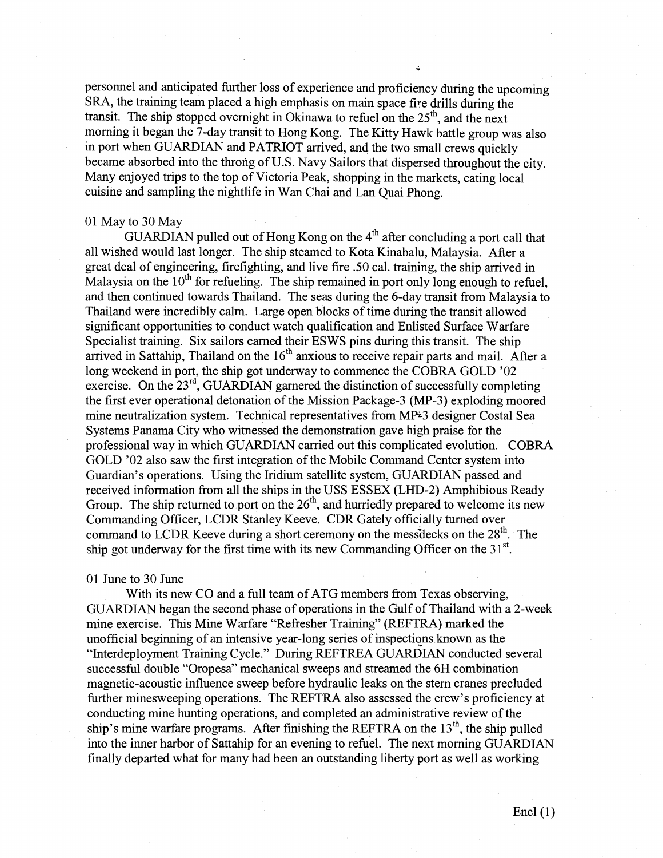personnel and anticipated further loss of experience and proficiency during the upcoming SRA, the training team placed a high emphasis on main space fire drills during the transit. The ship stopped overnight in Okinawa to refuel on the  $25<sup>th</sup>$ , and the next morning it began the 7-day transit to Hong Kong. The Kitty Hawk battle group was also in port when GUARDIAN and PATRIOT arrived, and the two small crews quickly became absorbed into the throng of U.S. Navy Sailors that dispersed throughout the city. Many enjoyed trips to the top of Victoria Peak, shopping in the markets, eating local cuisine and sampling the nightlife in Wan Chai and Lan Quai Phong.

### 01 May to 30 May

GUARDIAN pulled out of Hong Kong on the  $4<sup>th</sup>$  after concluding a port call that all wished would last longer. The ship steamed to Kota Kinabalu, Malaysia. After a great deal of engineering, firefighting, and live fire .50 cal. training, the ship arrived in Malaysia on the  $10<sup>th</sup>$  for refueling. The ship remained in port only long enough to refuel, and then continued towards Thailand. The seas during the 6-day transit from Malaysia to Thailand were incredibly calm. Large open blocks of time during the transit allowed significant opportunities to conduct watch qualification and Enlisted Surface Warfare Specialist training. Six sailors earned their ESWS pins during this transit. The ship arrived in Sattahip, Thailand on the 16" anxious to receive repair parts and mail. After a long weekend in port, the ship got underway to commence the COBRA GOLD '02 exercise. On the  $23<sup>rd</sup>$ , GUARDIAN garnered the distinction of successfully completing the first ever operational detonation of the Mission Package-3 (MP-3) exploding moored mine neutralization system. Technical representatives from MP3 designer Costal Sea Systems Panama City who witnessed the demonstration gave high praise for the professional way in which GUARDIAN carried out this complicated evolution. COBRA GOLD '02 also saw the first integration of the Mobile Command Center system into Guardian's operations. Using the Iridium satellite system, GUARDIAN passed and received information from all the ships in the USS ESSEX (LHD-2) Amphibious Ready Group. The ship returned to port on the  $26<sup>th</sup>$ , and hurriedly prepared to welcome its new Commanding Officer, LCDR Stanley Keeve. CDR Gately officially turned over command to LCDR Keeve during a short ceremony on the mess decks on the  $28<sup>th</sup>$ . The ship got underway for the first time with its new Commanding Officer on the  $31<sup>st</sup>$ .

### 01 June to 30 June

With its new CO and a full team of ATG members from Texas observing, GUARDIAN began the second phase of operations in the Gulf of Thailand with a 2-week mine exercise. This Mine Warfare "Refresher Training" (REFTRA) marked the unofficial beginning of an intensive year-long series of inspections known as the "Interdeployment Training Cycle." During REFTREA GUARDIAN conducted several successful double "Oropesa" mechanical sweeps and streamed the 6H combination magnetic-acoustic influence sweep before hydraulic leaks on the stern cranes precluded further minesweeping operations. The REFTRA also assessed the crew's proficiency at conducting mine hunting operations, and completed an administrative review of the ship's mine warfare programs. After finishing the REFTRA on the  $13<sup>th</sup>$ , the ship pulled into the inner harbor of Sattahip for an evening to refuel. The next morning GUARDIAN finally departed what for many had been an outstanding liberty port as well as working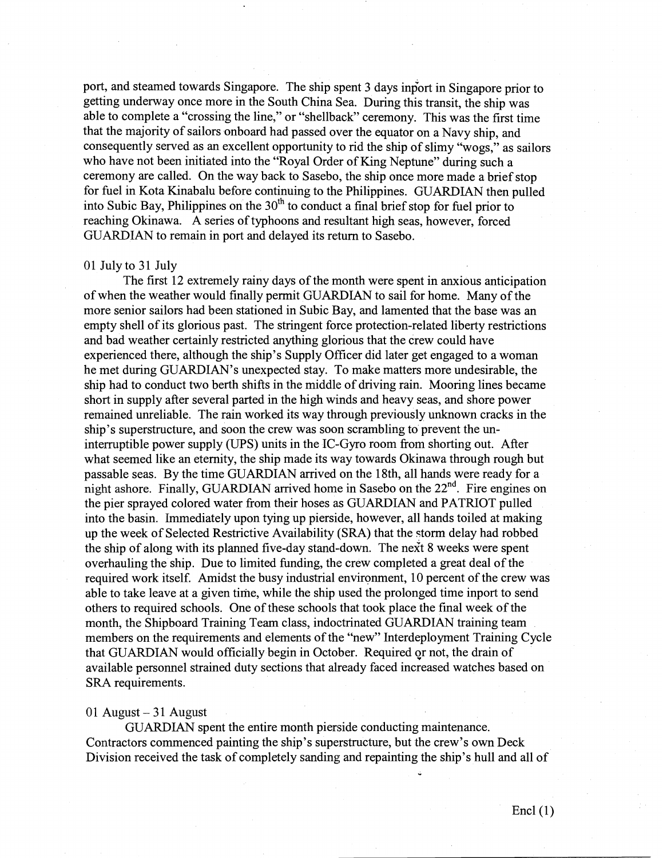port, and steamed towards Singapore. The ship spent 3 days inport in Singapore prior to getting underway once more in the South China Sea. During this transit, the ship was able to complete a "crossing the line," or "shellback" ceremony. This was the first time that the majority of sailors onboard had passed over the equator on a Navy ship, and consequently served as an excellent opportunity to rid the ship of slimy "wogs," as sailors who have not been initiated into the "Royal Order of King Neptune" during such a ceremony are called. On the way back to Sasebo, the ship once more made a brief stop for fuel in Kota Kinabalu before continuing to the Philippines. GUARDIAN then pulled into Subic Bay, Philippines on the  $30<sup>th</sup>$  to conduct a final brief stop for fuel prior to reaching Okinawa. A series of typhoons and resultant high seas, however, forced GUARDIAN to remain in port and delayed its return to Sasebo.

# 01 July to 31 July

The first 12 extremely rainy days of the month were spent in anxious anticipation of when the weather would finally permit GUARDIAN to sail for home. Many of the more senior sailors had been stationed in Subic Bay, and lamented that the base was an empty shell of its glorious past. The stringent force protection-related liberty restrictions and bad weather certainly restricted anything glorious that the crew could have experienced there, although the ship's Supply Officer did later get engaged to a woman he met during GUARDIAN'S unexpected stay. 'To make matters more undesirable, the ship had to conduct two berth shifts in the middle of driving rain. Mooring lines became short in supply after several parted in the high winds and heavy seas, and shore power remained unreliable. The rain worked its way through previously unknown cracks in the ship's superstructure, and soon the crew was soon scrambling to prevent the uninterruptible power supply (UPS) units in the IC-Gyro room from shorting out. After what seemed like an eternity, the ship made its way towards Okinawa through rough but passable seas. By the time GUARDIAN arrived on the 18th, all hands were ready for a night ashore. Finally, GUARDIAN arrived home in Sasebo on the 22<sup>nd</sup>. Fire engines on the pier sprayed colored water from their hoses as GUARDIAN and PATRIOT pulled into the basin. Immediately upon tying up pierside, however, all hands toiled at making up the week of Selected Restrictive Availability (SRA) that the storm delay had robbed the ship of along with its planned five-day stand-down. The next 8 weeks were spent overhauling the ship. Due to limited finding, the crew completed a great deal of the required work itself. Amidst the busy industrial environment, 10 percent of the crew was able to take leave at a given time, while the ship used the prolonged time inport to send others to required schools. One of these schools that took place the final week of the month, the Shipboard Training Team class, indoctrinated GUARDIAN training team members on the requirements and elements of the "new" Interdeployment Training Cycle that GUARDIAN would officially begin in October. Required gr not, the drain of available personnel strained duty sections that already faced increased watches based on SRA requirements.

#### $01$  August  $-31$  August

GUARDIAN spent the entire month pierside conducting maintenance. Contractors commenced painting the ship's superstructure, but the crew's own Deck Division received the task of completely sanding and repainting the ship's hull and all of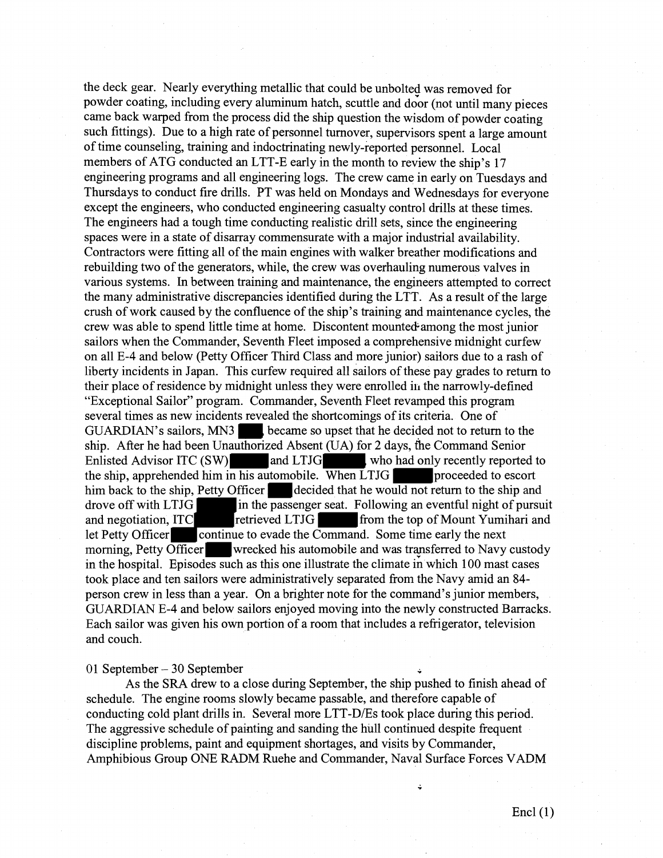the deck gear. Nearly everything metallic that could be unbolted was removed for powder coating, including every aluminum hatch, scuttle and door (not until many pieces came back warped from the process did the ship question the wisdom of powder coating such fittings). Due to a high rate of personnel turnover, supervisors spent a large amount of time counseling, training and indoctrinating newly-reported personnel. Local members of ATG conducted an LTT-E early in the month to review the ship's 17 engineering programs and all engineering logs. The crew came in early on Tuesdays and Thursdays to conduct fire drills. PT was held on Mondays and Wednesdays for everyone except the engineers, who conducted engineering casualty control drills at these times. The engineers had a tough time conducting realistic drill sets, since the engineering spaces were in a state of disarray commensurate with a major industrial availability. Contractors were fitting all of the main engines with walker breather modifications and rebuilding two of the generators, while, the crew was overhauling numerous valves in various systems. In between training and maintenance, the engineers attempted to correct the many administrative discrepancies identified during the LTT. As a result of the large crush of work caused by the confluence of the ship's training and maintenance cycles, the crew was able to spend little time at home. Discontent mounte&among the most junior sailors when the Commander, Seventh Fleet imposed a comprehensive midnight curfew on all E-4 and below (Petty Officer Third Class imd more junior) sailors due to a rash of liberty incidents in Japan. This curfew required all sailors of these pay grades to return to their place of residence by midnight unless they were enrolled in the narrowly-defined "Exceptional Sailor" program. Commander, Seventh Fleet revamped this program several times as new incidents revealed the shortcomings of its criteria. One of GUARDIAN's sailors, MN3 , became so upset that he decided not to return to the ship. After he had been Unauthorized Absent (UA) for 2 days, the Command Senior Enlisted Advisor ITC (SW) and LTJG who had only recently reported to the ship, apprehended him in his automobile. When  $LTJG$  proceeded to escort him back to the ship, Petty Officer decided that he would not return to the ship and drove off with LTJG in the passenger seat. Following an eventful night of pursuit and negotiation, ITC retrieved LTJG from the top of Mount Yumihari and let Petty Officer continue to evade the Command. Some time early the next morning, Petty Officer wrecked his automobile and was transferred to Navy custody in the hospital. Episodes such as this one illustrate the climate in which 100 mast cases took place and ten sailors were administratively separated from the Navy amid an 84 person crew in less than a year. On a brighter note for the command's junior members, GUARDIAN E-4 and below sailors enjoyed moving into the newly constructed Barracks. Each sailor was given his own portion of a room that includes a refrigerator, television and couch.

01 September - 30 September **-** 

As the SRA drew to a close during September, the ship pushed to finish ahead of schedule. The engine rooms slowly became passable, and therefore capable of conducting cold plant drills in. Several more LTT-D/Es took place during this period. The aggressive schedule of painting and sanding the hull continued despite frequent discipline problems, paint and equipment shortages, and visits by Commander, Amphibious Group ONE RADM Ruehe and Commander, Naval Surface Forces VADM

Ċ,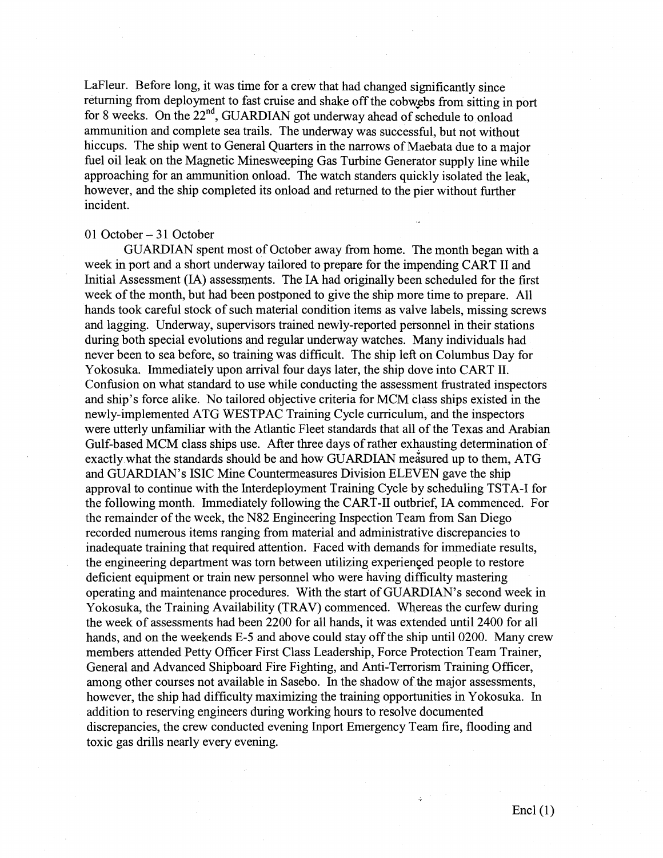LaFleur. Before long, it was time for a crew that had changed significantly since returning from deployment to fast cruise and shake off the cobwebs from sitting in port for 8 weeks. On the 22<sup>nd</sup>, GUARDIAN got underway ahead of schedule to onload ammunition and complete sea trails. The underway was successful, but not without hiccups. The ship went to General Quarters in the narrows of Maebata due to a major fuel oil leak on the Magnetic Minesweeping Gas Turbine Generator supply line while approaching for an ammunition onload. The watch standers quickly isolated the leak, however, and the ship completed its onload and returned to the pier without further incident.

## 01 October – 31 October

GUARDIAN spent most of October away from home. The month began with a week in port and a short underway tailored to prepare for the impending CART I1 and Initial Assessment (IA) assessments. The **IA** had originally been scheduled for the first week of the month, but had been postponed to give the ship more time to prepare. All hands took careful stock of such material condition items as valve labels, missing screws and lagging. Underway, supervisors trained newly-reported personnel in their stations during both special evolutions and regular underway watches. Many individuals had never been to sea before, so training was difficult. The ship left on Columbus Day for Yokosuka. Immediately upon arrival four days later, the ship dove into CART 11. Confusion on what standard to use while conducting the assessment frustrated inspectors and ship's force alike. No tailored objective criteria for MCM class ships existed in the newly-implemented ATG WESTPAC Training Cycle curriculum, and the inspectors were utterly unfaniiliar with the Atlantic Fleet standards that all of the Texas and Arabian Gulf-based MCM class ships use. After three days of rather exhausting determination of exactly what the standards should be and how GUARDIAN measured up to them, ATG and GUARDIAN'S ISIC Mine Countermeasures Division ELEVEN gave the ship approval to continue with the Interdeployment Training Cycle by scheduling TSTA-I for the following month. Immediately following **the:** CART-I1 outbrief, **IA** commenced. For the remainder of the week, the N82 Engineering Inspection Team from San Diego recorded numerous items ranging from material and administrative discrepancies to inadequate training that required attention. Faced with demands for immediate results, the engineering department was tom between utilizing experienced people to restore deficient equipment or train new personnel who were having difficulty mastering operating and maintenance procedures. With the start of GUARDIAN'S second week in Yokosuka, the Training Availability (TRAV) commenced. Whereas the curfew during the week of assessments had been 2200 for all hands, it was extended until 2400 for all hands, and on the weekends E-5 and above could stay off the ship until 0200. Many crew members attended Petty Officer First Class Leadership, Force Protection Team Trainer, General and Advanced Shipboard Fire Fighting, and Anti-Terrorism Training Officer, among other courses not available in Sasebo. In the shadow of the major assessments, however, the ship had difficulty maximizing the training opportunities in Yokosuka. In addition to reserving engineers during working hours to resolve documented discrepancies, the crew conducted evening Inport Emergency Team fire, flooding and toxic gas drills nearly every evening.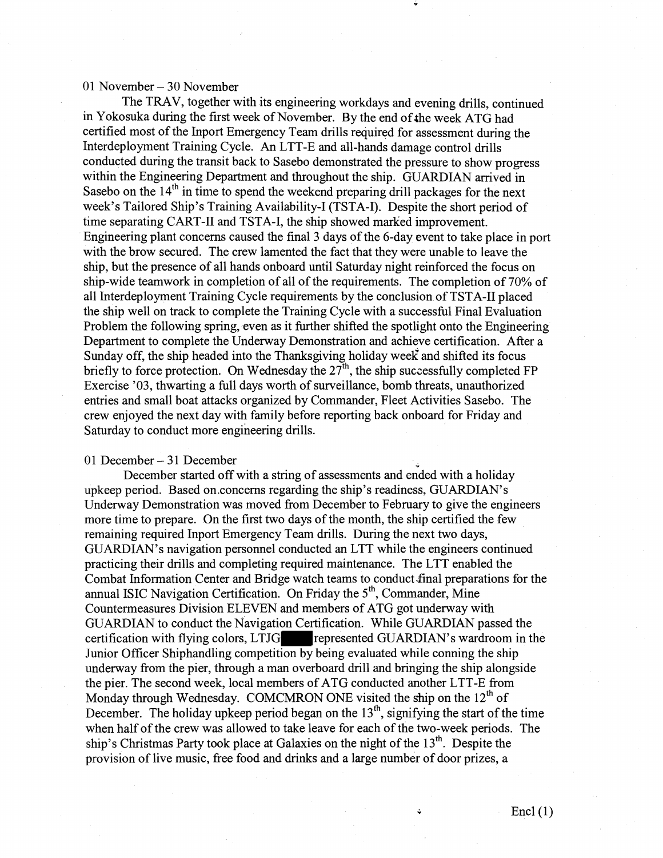### 01 November  $-30$  November

The TRAV, together with its engineering workdays and evening drills, continued in Yokosuka during the first week of November. By the end of the week ATG had certified most of the Inport Emergency Team drills required for assessment during the Interdeployment Training Cycle. An LTT-E and all-hands damage control drills conducted during the transit back to Sasebo demonstrated the pressure to show progress within the Engineering Department and throughout the ship. GUARDIAN arrived in Sasebo on the 14<sup>th</sup> in time to spend the weekend preparing drill packages for the next week's Tailored Ship's Training Availability-I (TSTA-I). Despite the short period of time separating CART-I1 and TSTA-I, the ship showed marked improvement. Engineering plant concerns caused the final 3 days of the 6-day event to take place in port with the brow secured. The crew lamented the fact that they were unable to leave the ship, but the presence of all hands onboard until Saturday night reinforced the focus on ship-wide teamwork in completion of all of the requirements. The completion of 70% of all Interdeployment Training Cycle requirements by the conclusion of TSTA-I1 placed the ship well on track to complete the Training Cycle with a successful Final Evaluation Problem the following spring, even as it further shifted the spotlight onto the Engineering Department to complete the Underway Demonstration and achieve certification. After a Sunday off, the ship headed into the Thanksgiving holiday week and shifted its focus briefly to force protection. On Wednesday the  $27<sup>th</sup>$ , the ship successfully completed FP Exercise '03, thwarting a full days worth of surveillance, bomb threats, unauthorized entries and small boat attacks organized by Commander, Fleet Activities Sasebo. The crew enjoyed the next day with family before reporting back onboard for Friday and Saturday to conduct more engineering drills.

#### 01 December – 31 December

December started off with a string of assessments and ended with a holiday upkeep period. Based on.concerns regarding the ship's readiness, GUARDIAN'S Underway Demonstration was moved from December to February to give the engineers more time to prepare. On the first two days of the month, the ship certified the few remaining required Inport Emergency Team drills. During the next two days, GUARDIAN'S navigation personnel conducted **an** LTT while the engineers continued practicing their dnlls and completing required maintenance. The LTT enabled the Combat Information Center and Bridge watch teams to conduct final preparations for the annual ISIC Navigation Certification. On Friday the  $5<sup>th</sup>$ , Commander, Mine Countermeasures Division ELEVEN and members of ATG got underway with GUARDIAN to conduct the Navigation Certification. While GUARDIAN passed the certification with flying colors, LTJG represented GUARDIAN's wardroom in the Junior Officer Shiphandling competition by being evaluated while conning the ship underway from the pier, through a man overboard drill and bringing the ship alongside the pier. The second week, local members of ATG conducted another LTT-E from Monday through Wednesday. COMCMRON ONE visited the ship on the  $12<sup>th</sup>$  of December. The holiday upkeep period began on the  $13<sup>th</sup>$ , signifying the start of the time when half of the crew was allowed to take leave for each of the two-week periods. The ship's Christmas Party took place at Galaxies on the night of the 13<sup>th</sup>. Despite the provision of live music, free food and drinks and a large number of door prizes, a